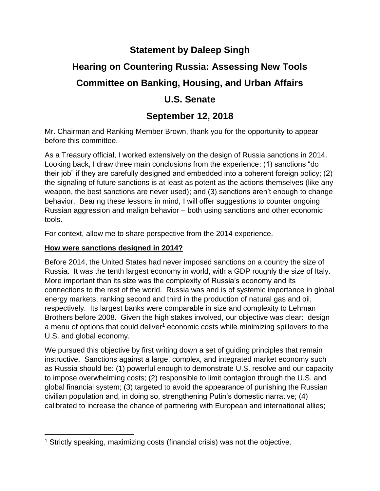# **Statement by Daleep Singh Hearing on Countering Russia: Assessing New Tools Committee on Banking, Housing, and Urban Affairs U.S. Senate**

# **September 12, 2018**

Mr. Chairman and Ranking Member Brown, thank you for the opportunity to appear before this committee.

As a Treasury official, I worked extensively on the design of Russia sanctions in 2014. Looking back, I draw three main conclusions from the experience: (1) sanctions "do their job" if they are carefully designed and embedded into a coherent foreign policy; (2) the signaling of future sanctions is at least as potent as the actions themselves (like any weapon, the best sanctions are never used); and (3) sanctions aren't enough to change behavior. Bearing these lessons in mind, I will offer suggestions to counter ongoing Russian aggression and malign behavior – both using sanctions and other economic tools.

For context, allow me to share perspective from the 2014 experience.

# **How were sanctions designed in 2014?**

 $\overline{\phantom{a}}$ 

Before 2014, the United States had never imposed sanctions on a country the size of Russia. It was the tenth largest economy in world, with a GDP roughly the size of Italy. More important than its size was the complexity of Russia's economy and its connections to the rest of the world. Russia was and is of systemic importance in global energy markets, ranking second and third in the production of natural gas and oil, respectively. Its largest banks were comparable in size and complexity to Lehman Brothers before 2008. Given the high stakes involved, our objective was clear: design a menu of options that could deliver<sup>1</sup> economic costs while minimizing spillovers to the U.S. and global economy.

We pursued this objective by first writing down a set of guiding principles that remain instructive. Sanctions against a large, complex, and integrated market economy such as Russia should be: (1) powerful enough to demonstrate U.S. resolve and our capacity to impose overwhelming costs; (2) responsible to limit contagion through the U.S. and global financial system; (3) targeted to avoid the appearance of punishing the Russian civilian population and, in doing so, strengthening Putin's domestic narrative; (4) calibrated to increase the chance of partnering with European and international allies;

<sup>&</sup>lt;sup>1</sup> Strictly speaking, maximizing costs (financial crisis) was not the objective.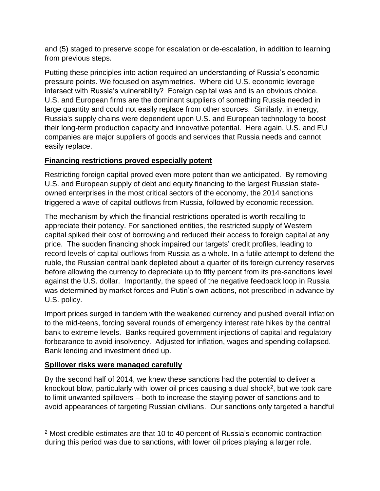and (5) staged to preserve scope for escalation or de-escalation, in addition to learning from previous steps.

Putting these principles into action required an understanding of Russia's economic pressure points. We focused on asymmetries. Where did U.S. economic leverage intersect with Russia's vulnerability? Foreign capital was and is an obvious choice. U.S. and European firms are the dominant suppliers of something Russia needed in large quantity and could not easily replace from other sources. Similarly, in energy, Russia's supply chains were dependent upon U.S. and European technology to boost their long-term production capacity and innovative potential. Here again, U.S. and EU companies are major suppliers of goods and services that Russia needs and cannot easily replace.

# **Financing restrictions proved especially potent**

Restricting foreign capital proved even more potent than we anticipated. By removing U.S. and European supply of debt and equity financing to the largest Russian stateowned enterprises in the most critical sectors of the economy, the 2014 sanctions triggered a wave of capital outflows from Russia, followed by economic recession.

The mechanism by which the financial restrictions operated is worth recalling to appreciate their potency. For sanctioned entities, the restricted supply of Western capital spiked their cost of borrowing and reduced their access to foreign capital at any price. The sudden financing shock impaired our targets' credit profiles, leading to record levels of capital outflows from Russia as a whole. In a futile attempt to defend the ruble, the Russian central bank depleted about a quarter of its foreign currency reserves before allowing the currency to depreciate up to fifty percent from its pre-sanctions level against the U.S. dollar. Importantly, the speed of the negative feedback loop in Russia was determined by market forces and Putin's own actions, not prescribed in advance by U.S. policy.

Import prices surged in tandem with the weakened currency and pushed overall inflation to the mid-teens, forcing several rounds of emergency interest rate hikes by the central bank to extreme levels. Banks required government injections of capital and regulatory forbearance to avoid insolvency. Adjusted for inflation, wages and spending collapsed. Bank lending and investment dried up.

# **Spillover risks were managed carefully**

By the second half of 2014, we knew these sanctions had the potential to deliver a knockout blow, particularly with lower oil prices causing a dual shock<sup>2</sup>, but we took care to limit unwanted spillovers – both to increase the staying power of sanctions and to avoid appearances of targeting Russian civilians. Our sanctions only targeted a handful

 $\overline{a}$ <sup>2</sup> Most credible estimates are that 10 to 40 percent of Russia's economic contraction during this period was due to sanctions, with lower oil prices playing a larger role.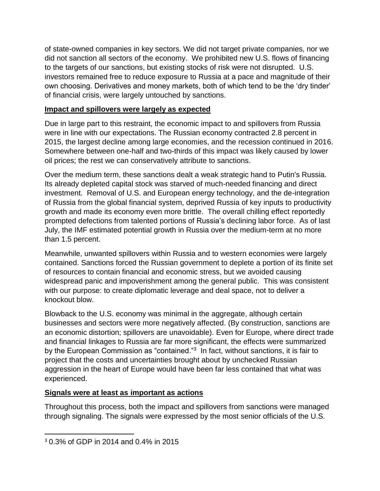of state-owned companies in key sectors. We did not target private companies, nor we did not sanction all sectors of the economy. We prohibited new U.S. flows of financing to the targets of our sanctions, but existing stocks of risk were not disrupted. U.S. investors remained free to reduce exposure to Russia at a pace and magnitude of their own choosing. Derivatives and money markets, both of which tend to be the 'dry tinder' of financial crisis, were largely untouched by sanctions.

# **Impact and spillovers were largely as expected**

Due in large part to this restraint, the economic impact to and spillovers from Russia were in line with our expectations. The Russian economy contracted 2.8 percent in 2015, the largest decline among large economies, and the recession continued in 2016. Somewhere between one-half and two-thirds of this impact was likely caused by lower oil prices; the rest we can conservatively attribute to sanctions.

Over the medium term, these sanctions dealt a weak strategic hand to Putin's Russia. Its already depleted capital stock was starved of much-needed financing and direct investment. Removal of U.S. and European energy technology, and the de-integration of Russia from the global financial system, deprived Russia of key inputs to productivity growth and made its economy even more brittle. The overall chilling effect reportedly prompted defections from talented portions of Russia's declining labor force. As of last July, the IMF estimated potential growth in Russia over the medium-term at no more than 1.5 percent.

Meanwhile, unwanted spillovers within Russia and to western economies were largely contained. Sanctions forced the Russian government to deplete a portion of its finite set of resources to contain financial and economic stress, but we avoided causing widespread panic and impoverishment among the general public. This was consistent with our purpose: to create diplomatic leverage and deal space, not to deliver a knockout blow.

Blowback to the U.S. economy was minimal in the aggregate, although certain businesses and sectors were more negatively affected. (By construction, sanctions are an economic distortion; spillovers are unavoidable). Even for Europe, where direct trade and financial linkages to Russia are far more significant, the effects were summarized by the European Commission as "contained."<sup>3</sup> In fact, without sanctions, it is fair to project that the costs and uncertainties brought about by unchecked Russian aggression in the heart of Europe would have been far less contained that what was experienced.

### **Signals were at least as important as actions**

Throughout this process, both the impact and spillovers from sanctions were managed through signaling. The signals were expressed by the most senior officials of the U.S.

 $\overline{\phantom{a}}$ 

<sup>3</sup> 0.3% of GDP in 2014 and 0.4% in 2015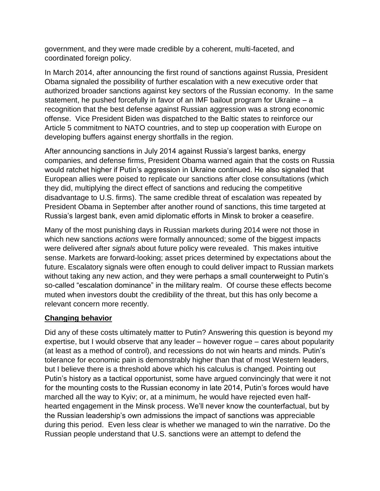government, and they were made credible by a coherent, multi-faceted, and coordinated foreign policy.

In March 2014, after announcing the first round of sanctions against Russia, President Obama signaled the possibility of further escalation with a new executive order that authorized broader sanctions against key sectors of the Russian economy. In the same statement, he pushed forcefully in favor of an IMF bailout program for Ukraine – a recognition that the best defense against Russian aggression was a strong economic offense. Vice President Biden was dispatched to the Baltic states to reinforce our Article 5 commitment to NATO countries, and to step up cooperation with Europe on developing buffers against energy shortfalls in the region.

After announcing sanctions in July 2014 against Russia's largest banks, energy companies, and defense firms, President Obama warned again that the costs on Russia would ratchet higher if Putin's aggression in Ukraine continued. He also signaled that European allies were poised to replicate our sanctions after close consultations (which they did, multiplying the direct effect of sanctions and reducing the competitive disadvantage to U.S. firms). The same credible threat of escalation was repeated by President Obama in September after another round of sanctions, this time targeted at Russia's largest bank, even amid diplomatic efforts in Minsk to broker a ceasefire.

Many of the most punishing days in Russian markets during 2014 were not those in which new sanctions *actions* were formally announced; some of the biggest impacts were delivered after *signals* about future policy were revealed. This makes intuitive sense. Markets are forward-looking; asset prices determined by expectations about the future. Escalatory signals were often enough to could deliver impact to Russian markets without taking any new action, and they were perhaps a small counterweight to Putin's so-called "escalation dominance" in the military realm. Of course these effects become muted when investors doubt the credibility of the threat, but this has only become a relevant concern more recently.

### **Changing behavior**

Did any of these costs ultimately matter to Putin? Answering this question is beyond my expertise, but I would observe that any leader – however rogue – cares about popularity (at least as a method of control), and recessions do not win hearts and minds. Putin's tolerance for economic pain is demonstrably higher than that of most Western leaders, but I believe there is a threshold above which his calculus is changed. Pointing out Putin's history as a tactical opportunist, some have argued convincingly that were it not for the mounting costs to the Russian economy in late 2014, Putin's forces would have marched all the way to Kyiv; or, at a minimum, he would have rejected even halfhearted engagement in the Minsk process. We'll never know the counterfactual, but by the Russian leadership's own admissions the impact of sanctions was appreciable during this period. Even less clear is whether we managed to win the narrative. Do the Russian people understand that U.S. sanctions were an attempt to defend the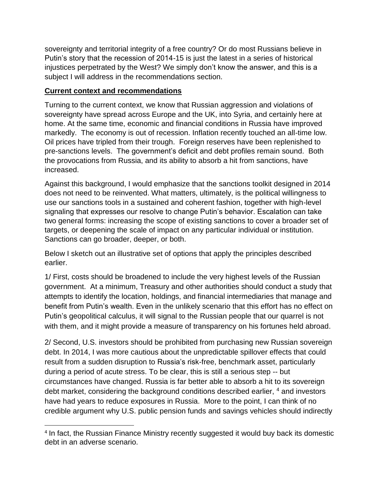sovereignty and territorial integrity of a free country? Or do most Russians believe in Putin's story that the recession of 2014-15 is just the latest in a series of historical injustices perpetrated by the West? We simply don't know the answer, and this is a subject I will address in the recommendations section.

#### **Current context and recommendations**

 $\overline{\phantom{a}}$ 

Turning to the current context, we know that Russian aggression and violations of sovereignty have spread across Europe and the UK, into Syria, and certainly here at home. At the same time, economic and financial conditions in Russia have improved markedly. The economy is out of recession. Inflation recently touched an all-time low. Oil prices have tripled from their trough. Foreign reserves have been replenished to pre-sanctions levels. The government's deficit and debt profiles remain sound. Both the provocations from Russia, and its ability to absorb a hit from sanctions, have increased.

Against this background, I would emphasize that the sanctions toolkit designed in 2014 does not need to be reinvented. What matters, ultimately, is the political willingness to use our sanctions tools in a sustained and coherent fashion, together with high-level signaling that expresses our resolve to change Putin's behavior. Escalation can take two general forms: increasing the scope of existing sanctions to cover a broader set of targets, or deepening the scale of impact on any particular individual or institution. Sanctions can go broader, deeper, or both.

Below I sketch out an illustrative set of options that apply the principles described earlier.

1/ First, costs should be broadened to include the very highest levels of the Russian government. At a minimum, Treasury and other authorities should conduct a study that attempts to identify the location, holdings, and financial intermediaries that manage and benefit from Putin's wealth. Even in the unlikely scenario that this effort has no effect on Putin's geopolitical calculus, it will signal to the Russian people that our quarrel is not with them, and it might provide a measure of transparency on his fortunes held abroad.

2/ Second, U.S. investors should be prohibited from purchasing new Russian sovereign debt. In 2014, I was more cautious about the unpredictable spillover effects that could result from a sudden disruption to Russia's risk-free, benchmark asset, particularly during a period of acute stress. To be clear, this is still a serious step -- but circumstances have changed. Russia is far better able to absorb a hit to its sovereign debt market, considering the background conditions described earlier, 4 and investors have had years to reduce exposures in Russia. More to the point, I can think of no credible argument why U.S. public pension funds and savings vehicles should indirectly

<sup>&</sup>lt;sup>4</sup> In fact, the Russian Finance Ministry recently suggested it would buy back its domestic debt in an adverse scenario.